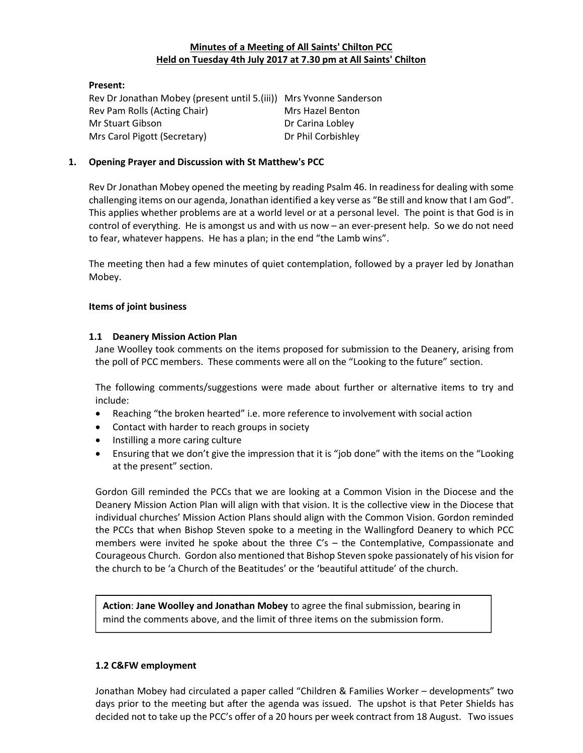## Minutes of a Meeting of All Saints' Chilton PCC Held on Tuesday 4th July 2017 at 7.30 pm at All Saints' Chilton

Present: Rev Dr Jonathan Mobey (present until 5.(iii)) Mrs Yvonne Sanderson Rev Pam Rolls (Acting Chair) Mrs Hazel Benton Mr Stuart Gibson **Dr Carina Lobley** Mrs Carol Pigott (Secretary) Dr Phil Corbishley

## 1. Opening Prayer and Discussion with St Matthew's PCC

Rev Dr Jonathan Mobey opened the meeting by reading Psalm 46. In readiness for dealing with some challenging items on our agenda, Jonathan identified a key verse as "Be still and know that I am God". This applies whether problems are at a world level or at a personal level. The point is that God is in control of everything. He is amongst us and with us now – an ever-present help. So we do not need to fear, whatever happens. He has a plan; in the end "the Lamb wins".

The meeting then had a few minutes of quiet contemplation, followed by a prayer led by Jonathan Mobey.

## Items of joint business

### 1.1 Deanery Mission Action Plan

Jane Woolley took comments on the items proposed for submission to the Deanery, arising from the poll of PCC members. These comments were all on the "Looking to the future" section.

The following comments/suggestions were made about further or alternative items to try and include:

- Reaching "the broken hearted" i.e. more reference to involvement with social action
- Contact with harder to reach groups in society
- Instilling a more caring culture
- Ensuring that we don't give the impression that it is "job done" with the items on the "Looking at the present" section.

Gordon Gill reminded the PCCs that we are looking at a Common Vision in the Diocese and the Deanery Mission Action Plan will align with that vision. It is the collective view in the Diocese that individual churches' Mission Action Plans should align with the Common Vision. Gordon reminded the PCCs that when Bishop Steven spoke to a meeting in the Wallingford Deanery to which PCC members were invited he spoke about the three  $C's$  – the Contemplative, Compassionate and Courageous Church. Gordon also mentioned that Bishop Steven spoke passionately of his vision for the church to be 'a Church of the Beatitudes' or the 'beautiful attitude' of the church.

Action: Jane Woolley and Jonathan Mobey to agree the final submission, bearing in mind the comments above, and the limit of three items on the submission form.

### 1.2 C&FW employment

Jonathan Mobey had circulated a paper called "Children & Families Worker – developments" two days prior to the meeting but after the agenda was issued. The upshot is that Peter Shields has decided not to take up the PCC's offer of a 20 hours per week contract from 18 August. Two issues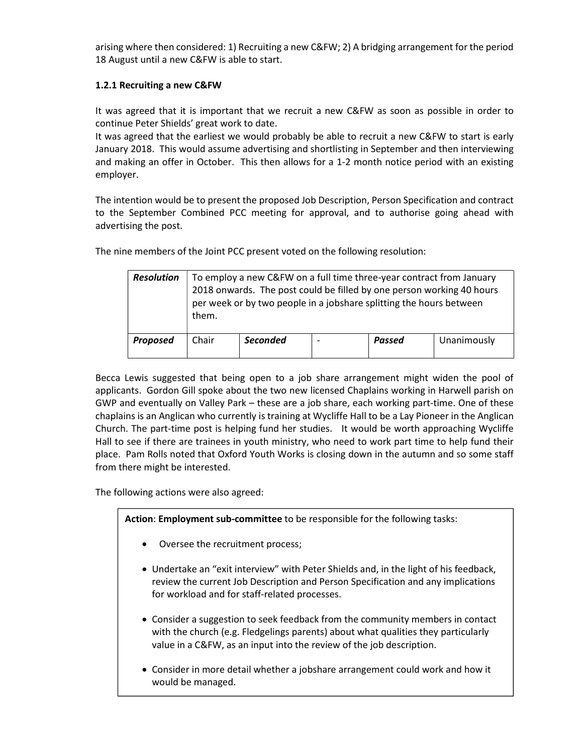arising where then considered: 1) Recruiting a new C&FW; 2) A bridging arrangement for the period 18 August until a new C&FW is able to start.

# 1.2.1 Recruiting a new C&FW

It was agreed that it is important that we recruit a new C&FW as soon as possible in order to continue Peter Shields' great work to date.

It was agreed that the earliest we would probably be able to recruit a new C&FW to start is early January 2018. This would assume advertising and shortlisting in September and then interviewing and making an offer in October. This then allows for a 1-2 month notice period with an existing employer.

The intention would be to present the proposed Job Description, Person Specification and contract to the September Combined PCC meeting for approval, and to authorise going ahead with advertising the post.

The nine members of the Joint PCC present voted on the following resolution:

| <b>Resolution</b> | To employ a new C&FW on a full time three-year contract from January<br>2018 onwards. The post could be filled by one person working 40 hours<br>per week or by two people in a jobshare splitting the hours between<br>them. |                 |  |        |             |  |  |
|-------------------|-------------------------------------------------------------------------------------------------------------------------------------------------------------------------------------------------------------------------------|-----------------|--|--------|-------------|--|--|
| <b>Proposed</b>   | Chair                                                                                                                                                                                                                         | <b>Seconded</b> |  | Passed | Unanimously |  |  |

Becca Lewis suggested that being open to a job share arrangement might widen the pool of applicants. Gordon Gill spoke about the two new licensed Chaplains working in Harwell parish on GWP and eventually on Valley Park – these are a job share, each working part-time. One of these chaplains is an Anglican who currently is training at Wycliffe Hall to be a Lay Pioneer in the Anglican Church. The part-time post is helping fund her studies. It would be worth approaching Wycliffe Hall to see if there are trainees in youth ministry, who need to work part time to help fund their place. Pam Rolls noted that Oxford Youth Works is closing down in the autumn and so some staff from there might be interested.

The following actions were also agreed:

Action: Employment sub-committee to be responsible for the following tasks:

- Oversee the recruitment process;
- Undertake an "exit interview" with Peter Shields and, in the light of his feedback, review the current Job Description and Person Specification and any implications for workload and for staff-related processes.
- Consider a suggestion to seek feedback from the community members in contact with the church (e.g. Fledgelings parents) about what qualities they particularly value in a C&FW, as an input into the review of the job description.
- Consider in more detail whether a jobshare arrangement could work and how it would be managed.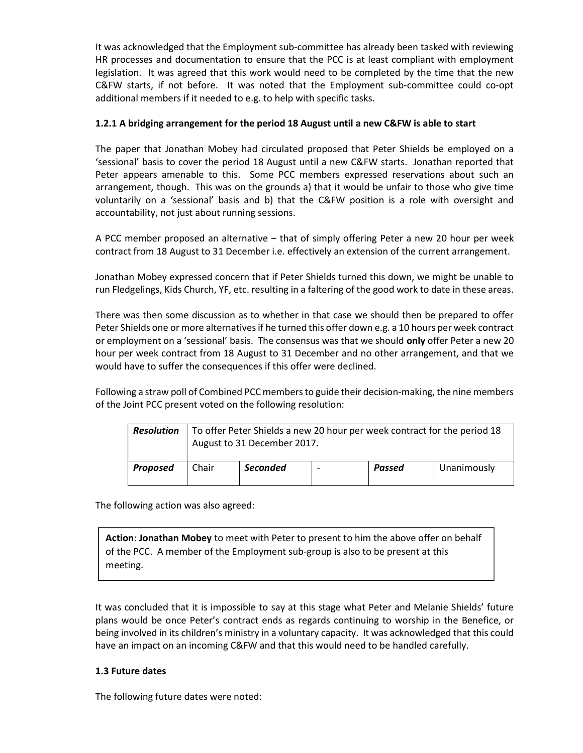It was acknowledged that the Employment sub-committee has already been tasked with reviewing HR processes and documentation to ensure that the PCC is at least compliant with employment legislation. It was agreed that this work would need to be completed by the time that the new C&FW starts, if not before. It was noted that the Employment sub-committee could co-opt additional members if it needed to e.g. to help with specific tasks.

# 1.2.1 A bridging arrangement for the period 18 August until a new C&FW is able to start

The paper that Jonathan Mobey had circulated proposed that Peter Shields be employed on a 'sessional' basis to cover the period 18 August until a new C&FW starts. Jonathan reported that Peter appears amenable to this. Some PCC members expressed reservations about such an arrangement, though. This was on the grounds a) that it would be unfair to those who give time voluntarily on a 'sessional' basis and b) that the C&FW position is a role with oversight and accountability, not just about running sessions.

A PCC member proposed an alternative – that of simply offering Peter a new 20 hour per week contract from 18 August to 31 December i.e. effectively an extension of the current arrangement.

Jonathan Mobey expressed concern that if Peter Shields turned this down, we might be unable to run Fledgelings, Kids Church, YF, etc. resulting in a faltering of the good work to date in these areas.

There was then some discussion as to whether in that case we should then be prepared to offer Peter Shields one or more alternatives if he turned this offer down e.g. a 10 hours per week contract or employment on a 'sessional' basis. The consensus was that we should only offer Peter a new 20 hour per week contract from 18 August to 31 December and no other arrangement, and that we would have to suffer the consequences if this offer were declined.

Following a straw poll of Combined PCC members to guide their decision-making, the nine members of the Joint PCC present voted on the following resolution:

|          | <b>Resolution</b>   To offer Peter Shields a new 20 hour per week contract for the period 18<br>August to 31 December 2017. |                 |  |        |             |  |  |
|----------|-----------------------------------------------------------------------------------------------------------------------------|-----------------|--|--------|-------------|--|--|
| Proposed | Chair                                                                                                                       | <b>Seconded</b> |  | Passed | Unanimously |  |  |

The following action was also agreed:

Action: Jonathan Mobey to meet with Peter to present to him the above offer on behalf of the PCC. A member of the Employment sub-group is also to be present at this meeting.

It was concluded that it is impossible to say at this stage what Peter and Melanie Shields' future plans would be once Peter's contract ends as regards continuing to worship in the Benefice, or being involved in its children's ministry in a voluntary capacity. It was acknowledged that this could have an impact on an incoming C&FW and that this would need to be handled carefully.

## 1.3 Future dates

The following future dates were noted: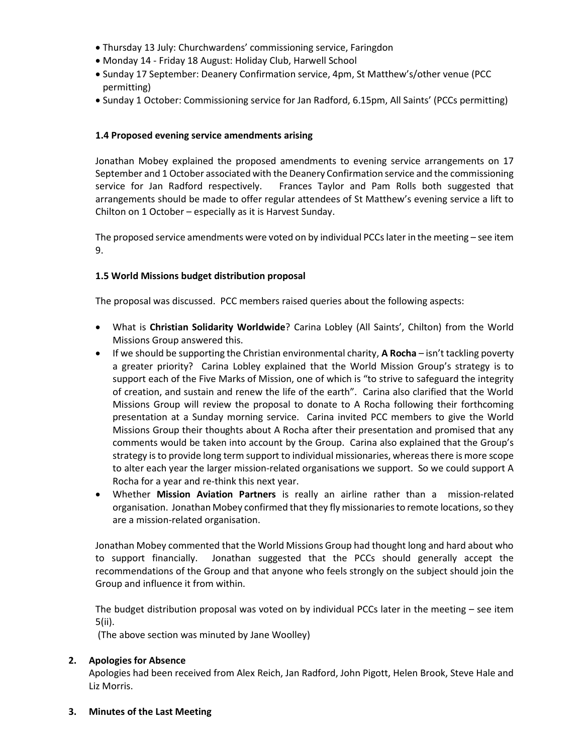- Thursday 13 July: Churchwardens' commissioning service, Faringdon
- Monday 14 Friday 18 August: Holiday Club, Harwell School
- Sunday 17 September: Deanery Confirmation service, 4pm, St Matthew's/other venue (PCC permitting)
- Sunday 1 October: Commissioning service for Jan Radford, 6.15pm, All Saints' (PCCs permitting)

## 1.4 Proposed evening service amendments arising

Jonathan Mobey explained the proposed amendments to evening service arrangements on 17 September and 1 October associated with the Deanery Confirmation service and the commissioning service for Jan Radford respectively. Frances Taylor and Pam Rolls both suggested that arrangements should be made to offer regular attendees of St Matthew's evening service a lift to Chilton on 1 October – especially as it is Harvest Sunday.

The proposed service amendments were voted on by individual PCCs later in the meeting – see item 9.

### 1.5 World Missions budget distribution proposal

The proposal was discussed. PCC members raised queries about the following aspects:

- What is Christian Solidarity Worldwide? Carina Lobley (All Saints', Chilton) from the World Missions Group answered this.
- $\bullet$  If we should be supporting the Christian environmental charity, **A Rocha** isn't tackling poverty a greater priority? Carina Lobley explained that the World Mission Group's strategy is to support each of the Five Marks of Mission, one of which is "to strive to safeguard the integrity of creation, and sustain and renew the life of the earth". Carina also clarified that the World Missions Group will review the proposal to donate to A Rocha following their forthcoming presentation at a Sunday morning service. Carina invited PCC members to give the World Missions Group their thoughts about A Rocha after their presentation and promised that any comments would be taken into account by the Group. Carina also explained that the Group's strategy is to provide long term support to individual missionaries, whereas there is more scope to alter each year the larger mission-related organisations we support. So we could support A Rocha for a year and re-think this next year.
- Whether Mission Aviation Partners is really an airline rather than a mission-related organisation. Jonathan Mobey confirmed that they fly missionaries to remote locations, so they are a mission-related organisation.

Jonathan Mobey commented that the World Missions Group had thought long and hard about who to support financially. Jonathan suggested that the PCCs should generally accept the recommendations of the Group and that anyone who feels strongly on the subject should join the Group and influence it from within.

The budget distribution proposal was voted on by individual PCCs later in the meeting – see item 5(ii).

(The above section was minuted by Jane Woolley)

### 2. Apologies for Absence

Apologies had been received from Alex Reich, Jan Radford, John Pigott, Helen Brook, Steve Hale and Liz Morris.

3. Minutes of the Last Meeting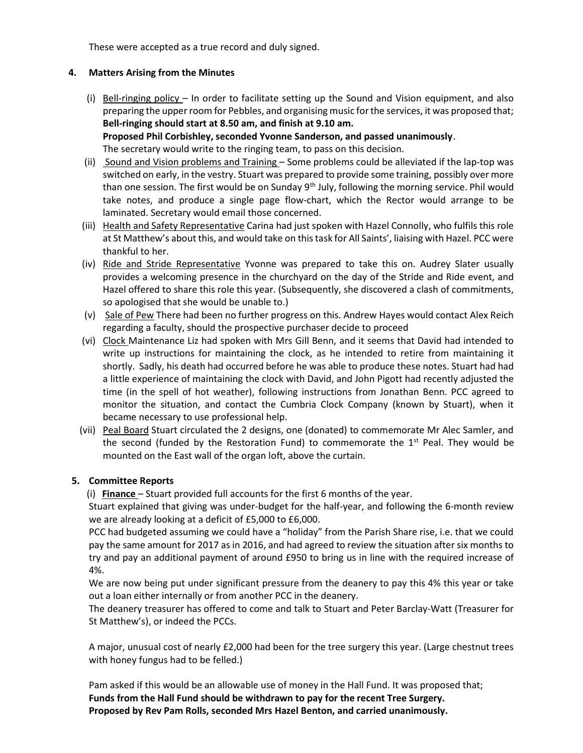These were accepted as a true record and duly signed.

# 4. Matters Arising from the Minutes

(i) Bell-ringing policy – In order to facilitate setting up the Sound and Vision equipment, and also preparing the upper room for Pebbles, and organising music for the services, it was proposed that; Bell-ringing should start at 8.50 am, and finish at 9.10 am. Proposed Phil Corbishley, seconded Yvonne Sanderson, and passed unanimously.

The secretary would write to the ringing team, to pass on this decision.

- (ii) Sound and Vision problems and Training Some problems could be alleviated if the lap-top was switched on early, in the vestry. Stuart was prepared to provide some training, possibly over more than one session. The first would be on Sunday  $9<sup>th</sup>$  July, following the morning service. Phil would take notes, and produce a single page flow-chart, which the Rector would arrange to be laminated. Secretary would email those concerned.
- (iii) Health and Safety Representative Carina had just spoken with Hazel Connolly, who fulfils this role at St Matthew's about this, and would take on this task for All Saints', liaising with Hazel. PCC were thankful to her.
- (iv) Ride and Stride Representative Yvonne was prepared to take this on. Audrey Slater usually provides a welcoming presence in the churchyard on the day of the Stride and Ride event, and Hazel offered to share this role this year. (Subsequently, she discovered a clash of commitments, so apologised that she would be unable to.)
- (v) Sale of Pew There had been no further progress on this. Andrew Hayes would contact Alex Reich regarding a faculty, should the prospective purchaser decide to proceed
- (vi) Clock Maintenance Liz had spoken with Mrs Gill Benn, and it seems that David had intended to write up instructions for maintaining the clock, as he intended to retire from maintaining it shortly. Sadly, his death had occurred before he was able to produce these notes. Stuart had had a little experience of maintaining the clock with David, and John Pigott had recently adjusted the time (in the spell of hot weather), following instructions from Jonathan Benn. PCC agreed to monitor the situation, and contact the Cumbria Clock Company (known by Stuart), when it became necessary to use professional help.
- (vii) Peal Board Stuart circulated the 2 designs, one (donated) to commemorate Mr Alec Samler, and the second (funded by the Restoration Fund) to commemorate the  $1<sup>st</sup>$  Peal. They would be mounted on the East wall of the organ loft, above the curtain.

# 5. Committee Reports

(i) Finance  $-$  Stuart provided full accounts for the first 6 months of the year.

Stuart explained that giving was under-budget for the half-year, and following the 6-month review we are already looking at a deficit of £5,000 to £6,000.

PCC had budgeted assuming we could have a "holiday" from the Parish Share rise, i.e. that we could pay the same amount for 2017 as in 2016, and had agreed to review the situation after six months to try and pay an additional payment of around £950 to bring us in line with the required increase of 4%.

We are now being put under significant pressure from the deanery to pay this 4% this year or take out a loan either internally or from another PCC in the deanery.

The deanery treasurer has offered to come and talk to Stuart and Peter Barclay-Watt (Treasurer for St Matthew's), or indeed the PCCs.

A major, unusual cost of nearly £2,000 had been for the tree surgery this year. (Large chestnut trees with honey fungus had to be felled.)

Pam asked if this would be an allowable use of money in the Hall Fund. It was proposed that; Funds from the Hall Fund should be withdrawn to pay for the recent Tree Surgery. Proposed by Rev Pam Rolls, seconded Mrs Hazel Benton, and carried unanimously.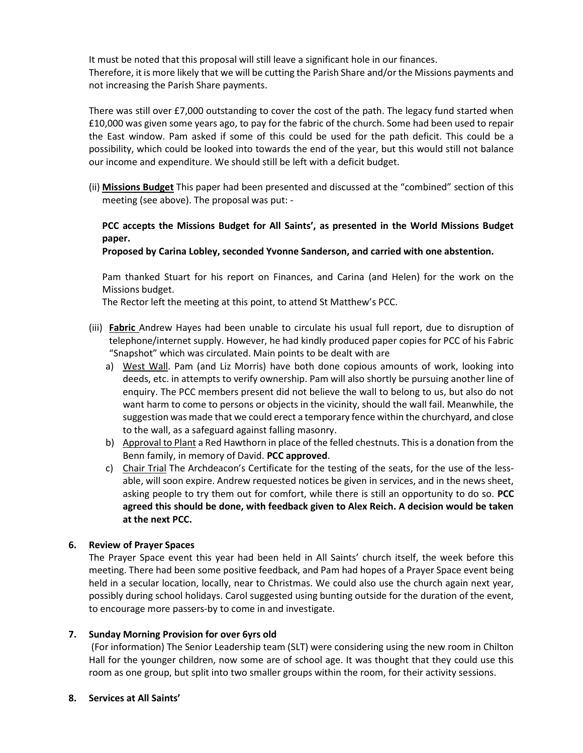It must be noted that this proposal will still leave a significant hole in our finances. Therefore, it is more likely that we will be cutting the Parish Share and/or the Missions payments and not increasing the Parish Share payments.

There was still over £7,000 outstanding to cover the cost of the path. The legacy fund started when £10,000 was given some years ago, to pay for the fabric of the church. Some had been used to repair the East window. Pam asked if some of this could be used for the path deficit. This could be a possibility, which could be looked into towards the end of the year, but this would still not balance our income and expenditure. We should still be left with a deficit budget.

(ii) Missions Budget This paper had been presented and discussed at the "combined" section of this meeting (see above). The proposal was put: -

# PCC accepts the Missions Budget for All Saints', as presented in the World Missions Budget paper.

## Proposed by Carina Lobley, seconded Yvonne Sanderson, and carried with one abstention.

Pam thanked Stuart for his report on Finances, and Carina (and Helen) for the work on the Missions budget.

The Rector left the meeting at this point, to attend St Matthew's PCC.

- (iii) Fabric Andrew Hayes had been unable to circulate his usual full report, due to disruption of telephone/internet supply. However, he had kindly produced paper copies for PCC of his Fabric "Snapshot" which was circulated. Main points to be dealt with are
	- a) West Wall. Pam (and Liz Morris) have both done copious amounts of work, looking into deeds, etc. in attempts to verify ownership. Pam will also shortly be pursuing another line of enquiry. The PCC members present did not believe the wall to belong to us, but also do not want harm to come to persons or objects in the vicinity, should the wall fail. Meanwhile, the suggestion was made that we could erect a temporary fence within the churchyard, and close to the wall, as a safeguard against falling masonry.
	- b) Approval to Plant a Red Hawthorn in place of the felled chestnuts. This is a donation from the Benn family, in memory of David. PCC approved.
	- c) Chair Trial The Archdeacon's Certificate for the testing of the seats, for the use of the lessable, will soon expire. Andrew requested notices be given in services, and in the news sheet, asking people to try them out for comfort, while there is still an opportunity to do so. PCC agreed this should be done, with feedback given to Alex Reich. A decision would be taken at the next PCC.

## 6. Review of Prayer Spaces

The Prayer Space event this year had been held in All Saints' church itself, the week before this meeting. There had been some positive feedback, and Pam had hopes of a Prayer Space event being held in a secular location, locally, near to Christmas. We could also use the church again next year, possibly during school holidays. Carol suggested using bunting outside for the duration of the event, to encourage more passers-by to come in and investigate.

## 7. Sunday Morning Provision for over 6yrs old

 (For information) The Senior Leadership team (SLT) were considering using the new room in Chilton Hall for the younger children, now some are of school age. It was thought that they could use this room as one group, but split into two smaller groups within the room, for their activity sessions.

## 8. Services at All Saints'